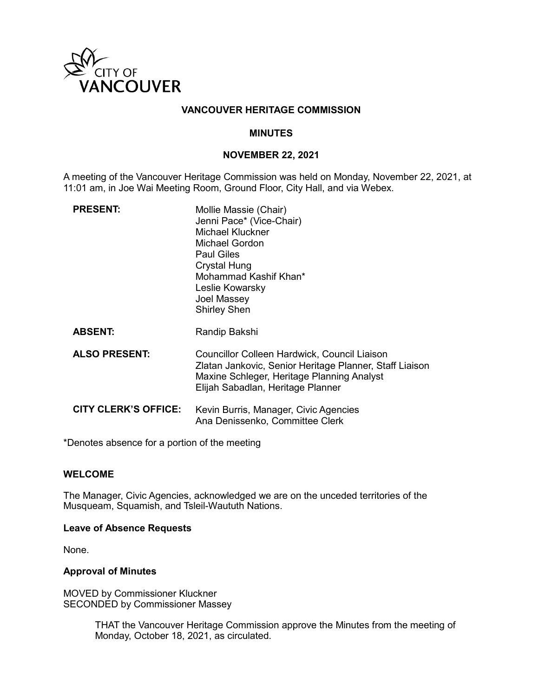

## **VANCOUVER HERITAGE COMMISSION**

## **MINUTES**

## **NOVEMBER 22, 2021**

A meeting of the Vancouver Heritage Commission was held on Monday, November 22, 2021, at 11:01 am, in Joe Wai Meeting Room, Ground Floor, City Hall, and via Webex.

| <b>PRESENT:</b>             | Mollie Massie (Chair)<br>Jenni Pace* (Vice-Chair)<br><b>Michael Kluckner</b><br><b>Michael Gordon</b><br><b>Paul Giles</b><br>Crystal Hung<br>Mohammad Kashif Khan*<br>Leslie Kowarsky<br>Joel Massey<br><b>Shirley Shen</b> |
|-----------------------------|------------------------------------------------------------------------------------------------------------------------------------------------------------------------------------------------------------------------------|
| <b>ABSENT:</b>              | Randip Bakshi                                                                                                                                                                                                                |
| <b>ALSO PRESENT:</b>        | Councillor Colleen Hardwick, Council Liaison<br>Zlatan Jankovic, Senior Heritage Planner, Staff Liaison<br>Maxine Schleger, Heritage Planning Analyst<br>Elijah Sabadlan, Heritage Planner                                   |
| <b>CITY CLERK'S OFFICE:</b> | Kevin Burris, Manager, Civic Agencies<br>Ana Denissenko, Committee Clerk                                                                                                                                                     |

\*Denotes absence for a portion of the meeting

## **WELCOME**

The Manager, Civic Agencies, acknowledged we are on the unceded territories of the Musqueam, Squamish, and Tsleil-Waututh Nations.

### **Leave of Absence Requests**

None.

### **Approval of Minutes**

MOVED by Commissioner Kluckner SECONDED by Commissioner Massey

> THAT the Vancouver Heritage Commission approve the Minutes from the meeting of Monday, October 18, 2021, as circulated.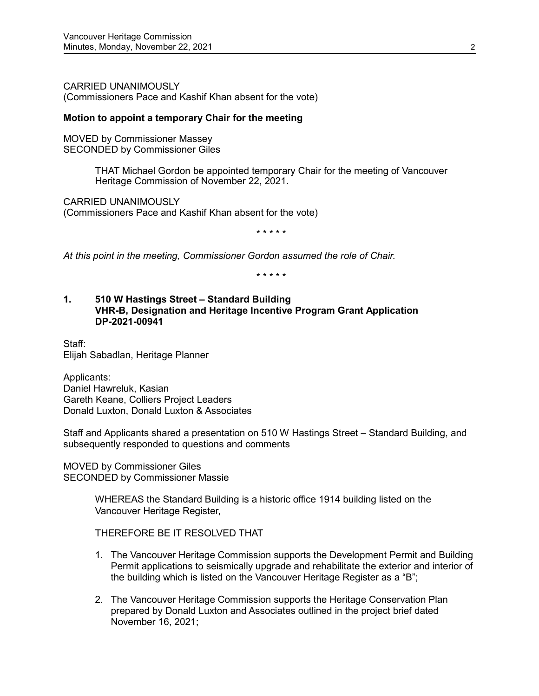CARRIED UNANIMOUSLY (Commissioners Pace and Kashif Khan absent for the vote)

## **Motion to appoint a temporary Chair for the meeting**

MOVED by Commissioner Massey SECONDED by Commissioner Giles

> THAT Michael Gordon be appointed temporary Chair for the meeting of Vancouver Heritage Commission of November 22, 2021.

CARRIED UNANIMOUSLY (Commissioners Pace and Kashif Khan absent for the vote)

\* \* \* \* \*

*At this point in the meeting, Commissioner Gordon assumed the role of Chair.*

\* \* \* \* \*

#### **1. 510 W Hastings Street – Standard Building VHR-B, Designation and Heritage Incentive Program Grant Application DP-2021-00941**

Staff: Elijah Sabadlan, Heritage Planner

Applicants: Daniel Hawreluk, Kasian Gareth Keane, Colliers Project Leaders Donald Luxton, Donald Luxton & Associates

Staff and Applicants shared a presentation on 510 W Hastings Street – Standard Building, and subsequently responded to questions and comments

MOVED by Commissioner Giles SECONDED by Commissioner Massie

> WHEREAS the Standard Building is a historic office 1914 building listed on the Vancouver Heritage Register,

THEREFORE BE IT RESOLVED THAT

- 1. The Vancouver Heritage Commission supports the Development Permit and Building Permit applications to seismically upgrade and rehabilitate the exterior and interior of the building which is listed on the Vancouver Heritage Register as a "B";
- 2. The Vancouver Heritage Commission supports the Heritage Conservation Plan prepared by Donald Luxton and Associates outlined in the project brief dated November 16, 2021;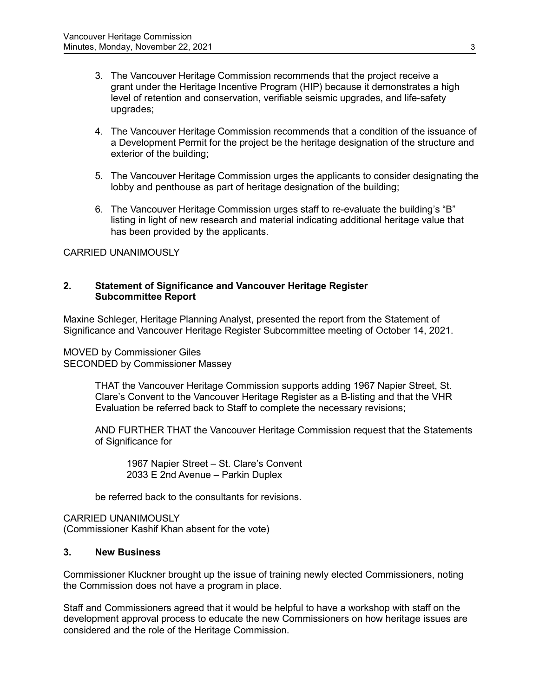- 3. The Vancouver Heritage Commission recommends that the project receive a grant under the Heritage Incentive Program (HIP) because it demonstrates a high level of retention and conservation, verifiable seismic upgrades, and life-safety upgrades;
- 4. The Vancouver Heritage Commission recommends that a condition of the issuance of a Development Permit for the project be the heritage designation of the structure and exterior of the building;
- 5. The Vancouver Heritage Commission urges the applicants to consider designating the lobby and penthouse as part of heritage designation of the building;
- 6. The Vancouver Heritage Commission urges staff to re-evaluate the building's "B" listing in light of new research and material indicating additional heritage value that has been provided by the applicants.

# CARRIED UNANIMOUSLY

### **2. Statement of Significance and Vancouver Heritage Register Subcommittee Report**

Maxine Schleger, Heritage Planning Analyst, presented the report from the Statement of Significance and Vancouver Heritage Register Subcommittee meeting of October 14, 2021.

MOVED by Commissioner Giles SECONDED by Commissioner Massey

> THAT the Vancouver Heritage Commission supports adding 1967 Napier Street, St. Clare's Convent to the Vancouver Heritage Register as a B-listing and that the VHR Evaluation be referred back to Staff to complete the necessary revisions;

AND FURTHER THAT the Vancouver Heritage Commission request that the Statements of Significance for

1967 Napier Street – St. Clare's Convent 2033 E 2nd Avenue – Parkin Duplex

be referred back to the consultants for revisions.

CARRIED UNANIMOUSLY (Commissioner Kashif Khan absent for the vote)

## **3. New Business**

Commissioner Kluckner brought up the issue of training newly elected Commissioners, noting the Commission does not have a program in place.

Staff and Commissioners agreed that it would be helpful to have a workshop with staff on the development approval process to educate the new Commissioners on how heritage issues are considered and the role of the Heritage Commission.